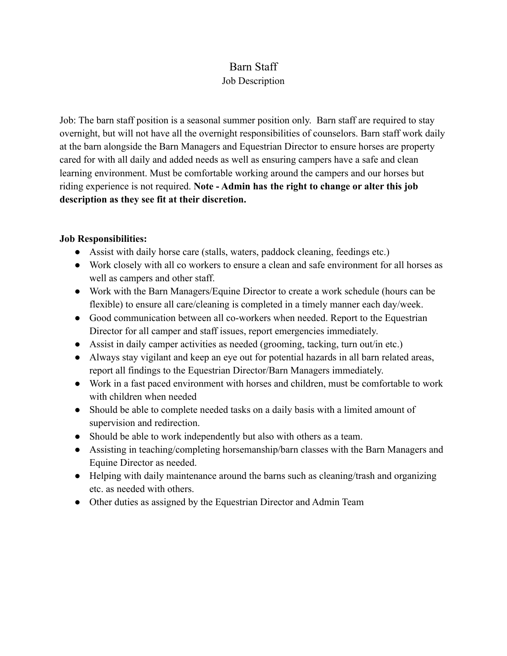## Barn Staff

## Job Description

Job: The barn staff position is a seasonal summer position only. Barn staff are required to stay overnight, but will not have all the overnight responsibilities of counselors. Barn staff work daily at the barn alongside the Barn Managers and Equestrian Director to ensure horses are property cared for with all daily and added needs as well as ensuring campers have a safe and clean learning environment. Must be comfortable working around the campers and our horses but riding experience is not required. **Note - Admin has the right to change or alter this job description as they see fit at their discretion.**

## **Job Responsibilities:**

- Assist with daily horse care (stalls, waters, paddock cleaning, feedings etc.)
- Work closely with all co workers to ensure a clean and safe environment for all horses as well as campers and other staff.
- Work with the Barn Managers/Equine Director to create a work schedule (hours can be flexible) to ensure all care/cleaning is completed in a timely manner each day/week.
- Good communication between all co-workers when needed. Report to the Equestrian Director for all camper and staff issues, report emergencies immediately.
- Assist in daily camper activities as needed (grooming, tacking, turn out/in etc.)
- Always stay vigilant and keep an eye out for potential hazards in all barn related areas, report all findings to the Equestrian Director/Barn Managers immediately.
- Work in a fast paced environment with horses and children, must be comfortable to work with children when needed
- Should be able to complete needed tasks on a daily basis with a limited amount of supervision and redirection.
- Should be able to work independently but also with others as a team.
- Assisting in teaching/completing horsemanship/barn classes with the Barn Managers and Equine Director as needed.
- Helping with daily maintenance around the barns such as cleaning/trash and organizing etc. as needed with others.
- Other duties as assigned by the Equestrian Director and Admin Team